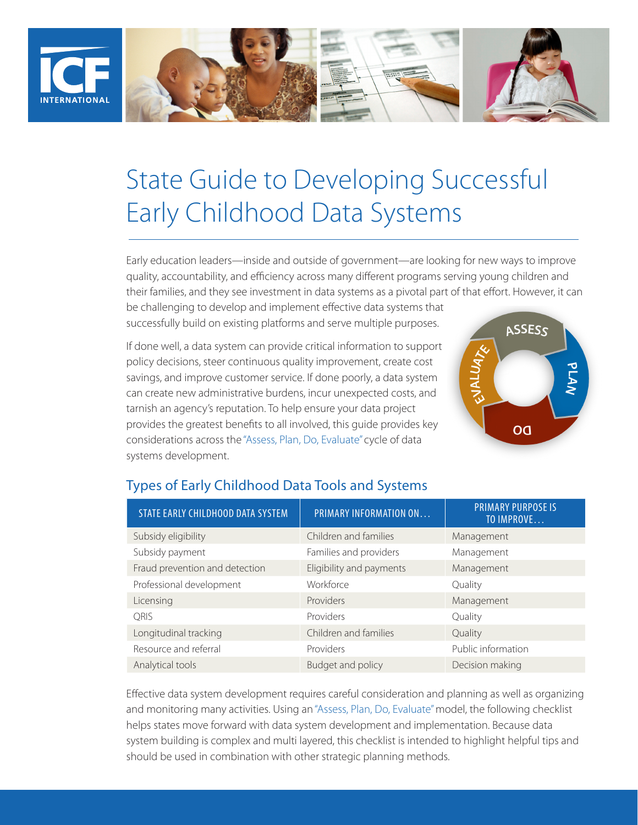

# State Guide to Developing Successful Early Childhood Data Systems

Early education leaders—inside and outside of government—are looking for new ways to improve quality, accountability, and efficiency across many different programs serving young children and their families, and they see investment in data systems as a pivotal part of that effort. However, it can

be challenging to develop and implement effective data systems that successfully build on existing platforms and serve multiple purposes.

If done well, a data system can provide critical information to support policy decisions, steer continuous quality improvement, create cost savings, and improve customer service. If done poorly, a data system can create new administrative burdens, incur unexpected costs, and tarnish an agency's reputation. To help ensure your data project provides the greatest benefits to all involved, this guide provides key considerations across the "Assess, Plan, Do, Evaluate" cycle of data systems development.



| STATE EARLY CHILDHOOD DATA SYSTEM | PRIMARY INFORMATION ON   | <b>PRIMARY PURPOSE IS</b><br>TO IMPROVE |
|-----------------------------------|--------------------------|-----------------------------------------|
| Subsidy eligibility               | Children and families    | Management                              |
| Subsidy payment                   | Families and providers   | Management                              |
| Fraud prevention and detection    | Eligibility and payments | Management                              |
| Professional development          | Workforce                | Quality                                 |
| Licensing                         | Providers                | Management                              |
| <b>ORIS</b>                       | Providers                | Quality                                 |
| Longitudinal tracking             | Children and families    | Quality                                 |
| Resource and referral             | Providers                | Public information                      |
| Analytical tools                  | Budget and policy        | Decision making                         |

#### Types of Early Childhood Data Tools and Systems

Effective data system development requires careful consideration and planning as well as organizing and monitoring many activities. Using an "Assess, Plan, Do, Evaluate" model, the following checklist helps states move forward with data system development and implementation. Because data system building is complex and multi layered, this checklist is intended to highlight helpful tips and should be used in combination with other strategic planning methods.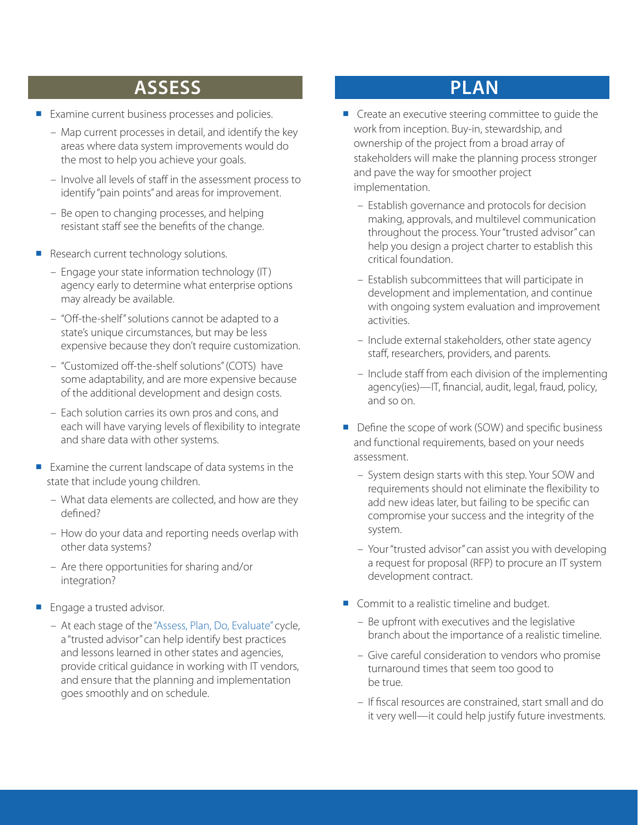## **ASSESS**

- **Examine current business processes and policies.** 
	- Map current processes in detail, and identify the key areas where data system improvements would do the most to help you achieve your goals.
	- Involve all levels of staff in the assessment process to identify "pain points" and areas for improvement.
	- Be open to changing processes, and helping resistant staff see the benefits of the change.
- Research current technology solutions.
	- Engage your state information technology (IT) agency early to determine what enterprise options may already be available.
	- "Off-the-shelf" solutions cannot be adapted to a state's unique circumstances, but may be less expensive because they don't require customization.
	- "Customized off-the-shelf solutions" (COTS) have some adaptability, and are more expensive because of the additional development and design costs.
	- Each solution carries its own pros and cons, and each will have varying levels of flexibility to integrate and share data with other systems.
- Examine the current landscape of data systems in the state that include young children.
	- What data elements are collected, and how are they defined?
	- How do your data and reporting needs overlap with other data systems?
	- Are there opportunities for sharing and/or integration?
- **Engage a trusted advisor.** 
	- At each stage of the "Assess, Plan, Do, Evaluate" cycle, a "trusted advisor" can help identify best practices and lessons learned in other states and agencies, provide critical guidance in working with IT vendors, and ensure that the planning and implementation goes smoothly and on schedule.

#### **PLAN**

- **Create an executive steering committee to guide the** work from inception. Buy-in, stewardship, and ownership of the project from a broad array of stakeholders will make the planning process stronger and pave the way for smoother project implementation.
	- Establish governance and protocols for decision making, approvals, and multilevel communication throughout the process. Your "trusted advisor" can help you design a project charter to establish this critical foundation.
	- Establish subcommittees that will participate in development and implementation, and continue with ongoing system evaluation and improvement activities.
	- Include external stakeholders, other state agency staff, researchers, providers, and parents.
	- Include staff from each division of the implementing agency(ies)—IT, financial, audit, legal, fraud, policy, and so on.
- Define the scope of work (SOW) and specific business and functional requirements, based on your needs assessment.
	- System design starts with this step. Your SOW and requirements should not eliminate the flexibility to add new ideas later, but failing to be specific can compromise your success and the integrity of the system.
	- Your "trusted advisor" can assist you with developing a request for proposal (RFP) to procure an IT system development contract.
- Commit to a realistic timeline and budget.
	- Be upfront with executives and the legislative branch about the importance of a realistic timeline.
	- Give careful consideration to vendors who promise turnaround times that seem too good to be true.
	- If fiscal resources are constrained, start small and do it very well—it could help justify future investments.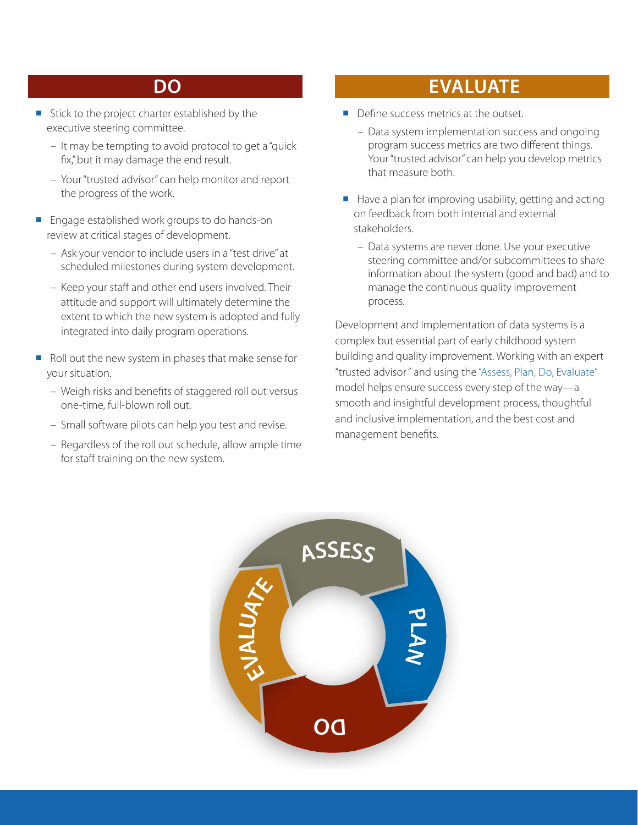#### **DO**

- Stick to the project charter established by the executive steering committee.
	- It may be tempting to avoid protocol to get a "quick fix," but it may damage the end result.
	- Your "trusted advisor" can help monitor and report the progress of the work.
- Engage established work groups to do hands-on review at critical stages of development.
	- Ask your vendor to include users in a "test drive" at scheduled milestones during system development.
	- Keep your staff and other end users involved. Their attitude and support will ultimately determine the extent to which the new system is adopted and fully integrated into daily program operations.
- Roll out the new system in phases that make sense for your situation.
	- Weigh risks and benefits of staggered roll out versus one-time, full-blown roll out.
	- Small software pilots can help you test and revise.
	- Regardless of the roll out schedule, allow ample time for staff training on the new system.

### **EVALUATE**

- **Define success metrics at the outset.** 
	- Data system implementation success and ongoing program success metrics are two different things. Your "trusted advisor" can help you develop metrics that measure both.
- $\blacksquare$  Have a plan for improving usability, getting and acting on feedback from both internal and external stakeholders.
	- Data systems are never done. Use your executive steering committee and/or subcommittees to share information about the system (good and bad) and to manage the continuous quality improvement process.

Development and implementation of data systems is a complex but essential part of early childhood system building and quality improvement. Working with an expert "trusted advisor " and using the "Assess, Plan, Do, Evaluate" model helps ensure success every step of the way—a smooth and insightful development process, thoughtful and inclusive implementation, and the best cost and management benefits.